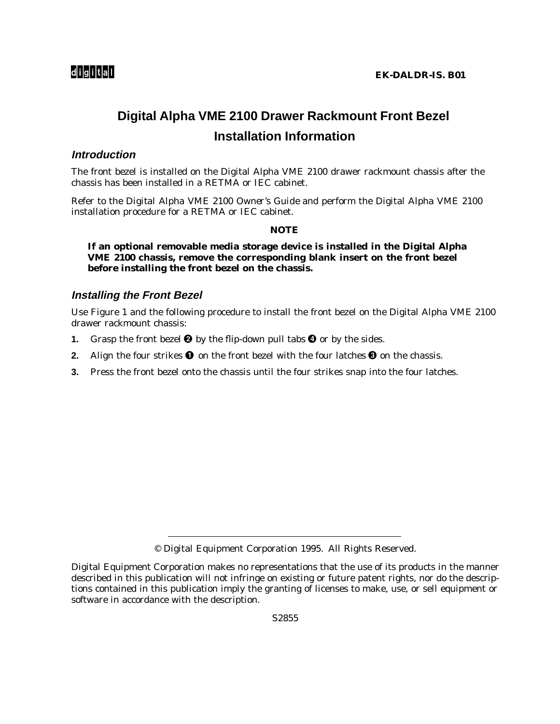## **Digital Alpha VME 2100 Drawer Rackmount Front Bezel Installation Information**

## **Introduction**

The front bezel is installed on the Digital Alpha VME 2100 drawer rackmount chassis after the chassis has been installed in a RETMA or IEC cabinet.

Refer to the *Digital Alpha VME 2100 Owner's Guide* and perform the Digital Alpha VME 2100 installation procedure for a RETMA or IEC cabinet.

## **NOTE**

**If an optional removable media storage device is installed in the Digital Alpha VME 2100 chassis, remove the corresponding blank insert on the front bezel before installing the front bezel on the chassis.**

## **Installing the Front Bezel**

Use Figure 1 and the following procedure to install the front bezel on the Digital Alpha VME 2100 drawer rackmount chassis:

- **1.** Grasp the front bezel  $\Theta$  by the flip-down pull tabs  $\Theta$  or by the sides.
- **2.** Align the four strikes  $\bullet$  on the front bezel with the four latches  $\bullet$  on the chassis.
- **3.** Press the front bezel onto the chassis until the four strikes snap into the four latches.

<sup>©</sup> Digital Equipment Corporation 1995. All Rights Reserved.

Digital Equipment Corporation makes no representations that the use of its products in the manner described in this publication will not infringe on existing or future patent rights, nor do the descriptions contained in this publication imply the granting of licenses to make, use, or sell equipment or software in accordance with the description.